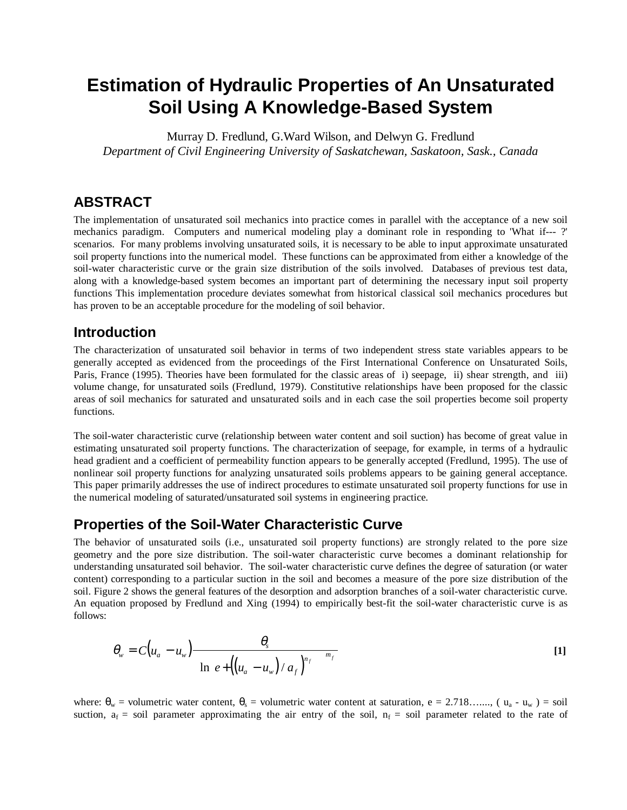# **Estimation of Hydraulic Properties of An Unsaturated Soil Using A Knowledge-Based System**

Murray D. Fredlund, G.Ward Wilson, and Delwyn G. Fredlund *Department of Civil Engineering University of Saskatchewan, Saskatoon, Sask., Canada*

### **ABSTRACT**

The implementation of unsaturated soil mechanics into practice comes in parallel with the acceptance of a new soil mechanics paradigm. Computers and numerical modeling play a dominant role in responding to 'What if--- ?' scenarios. For many problems involving unsaturated soils, it is necessary to be able to input approximate unsaturated soil property functions into the numerical model. These functions can be approximated from either a knowledge of the soil-water characteristic curve or the grain size distribution of the soils involved. Databases of previous test data, along with a knowledge-based system becomes an important part of determining the necessary input soil property functions This implementation procedure deviates somewhat from historical classical soil mechanics procedures but has proven to be an acceptable procedure for the modeling of soil behavior.

### **Introduction**

The characterization of unsaturated soil behavior in terms of two independent stress state variables appears to be generally accepted as evidenced from the proceedings of the First International Conference on Unsaturated Soils, Paris, France (1995). Theories have been formulated for the classic areas of i) seepage, ii) shear strength, and iii) volume change, for unsaturated soils (Fredlund, 1979). Constitutive relationships have been proposed for the classic areas of soil mechanics for saturated and unsaturated soils and in each case the soil properties become soil property functions.

The soil-water characteristic curve (relationship between water content and soil suction) has become of great value in estimating unsaturated soil property functions. The characterization of seepage, for example, in terms of a hydraulic head gradient and a coefficient of permeability function appears to be generally accepted (Fredlund, 1995). The use of nonlinear soil property functions for analyzing unsaturated soils problems appears to be gaining general acceptance. This paper primarily addresses the use of indirect procedures to estimate unsaturated soil property functions for use in the numerical modeling of saturated/unsaturated soil systems in engineering practice.

### **Properties of the Soil-Water Characteristic Curve**

The behavior of unsaturated soils (i.e., unsaturated soil property functions) are strongly related to the pore size geometry and the pore size distribution. The soil-water characteristic curve becomes a dominant relationship for understanding unsaturated soil behavior. The soil-water characteristic curve defines the degree of saturation (or water content) corresponding to a particular suction in the soil and becomes a measure of the pore size distribution of the soil. Figure 2 shows the general features of the desorption and adsorption branches of a soil-water characteristic curve. An equation proposed by Fredlund and Xing (1994) to empirically best-fit the soil-water characteristic curve is as follows:

$$
\theta_{w} = C(u_{a} - u_{w}) \frac{\theta_{s}}{\left\{\ln\left[e + \left(\left(u_{a} - u_{w}\right)/a_{f}\right)^{n_{f}}\right]\right\}^{m_{f}}}
$$
\n[1]

where:  $\theta_w$  = volumetric water content,  $\theta_s$  = volumetric water content at saturation, e = 2.718……, (  $u_a$  -  $u_w$  ) = soil suction,  $a_f$  = soil parameter approximating the air entry of the soil,  $n_f$  = soil parameter related to the rate of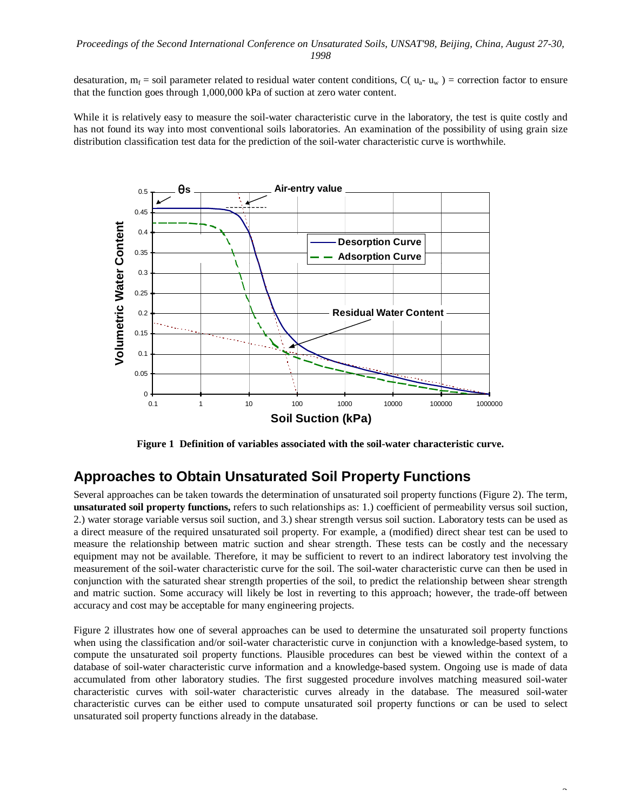#### *Proceedings of the Second International Conference on Unsaturated Soils, UNSAT'98, Beijing, China, August 27-30, 1998*

desaturation,  $m_f$  = soil parameter related to residual water content conditions,  $C(u_a - u_w)$  = correction factor to ensure that the function goes through 1,000,000 kPa of suction at zero water content.

While it is relatively easy to measure the soil-water characteristic curve in the laboratory, the test is quite costly and has not found its way into most conventional soils laboratories. An examination of the possibility of using grain size distribution classification test data for the prediction of the soil-water characteristic curve is worthwhile.



**Figure 1 Definition of variables associated with the soil-water characteristic curve.**

### **Approaches to Obtain Unsaturated Soil Property Functions**

Several approaches can be taken towards the determination of unsaturated soil property functions (Figure 2). The term, **unsaturated soil property functions,** refers to such relationships as: 1.) coefficient of permeability versus soil suction, 2.) water storage variable versus soil suction, and 3.) shear strength versus soil suction. Laboratory tests can be used as a direct measure of the required unsaturated soil property. For example, a (modified) direct shear test can be used to measure the relationship between matric suction and shear strength. These tests can be costly and the necessary equipment may not be available. Therefore, it may be sufficient to revert to an indirect laboratory test involving the measurement of the soil-water characteristic curve for the soil. The soil-water characteristic curve can then be used in conjunction with the saturated shear strength properties of the soil, to predict the relationship between shear strength and matric suction. Some accuracy will likely be lost in reverting to this approach; however, the trade-off between accuracy and cost may be acceptable for many engineering projects.

Figure 2 illustrates how one of several approaches can be used to determine the unsaturated soil property functions when using the classification and/or soil-water characteristic curve in conjunction with a knowledge-based system, to compute the unsaturated soil property functions. Plausible procedures can best be viewed within the context of a database of soil-water characteristic curve information and a knowledge-based system. Ongoing use is made of data accumulated from other laboratory studies. The first suggested procedure involves matching measured soil-water characteristic curves with soil-water characteristic curves already in the database. The measured soil-water characteristic curves can be either used to compute unsaturated soil property functions or can be used to select unsaturated soil property functions already in the database.

 $\overline{a}$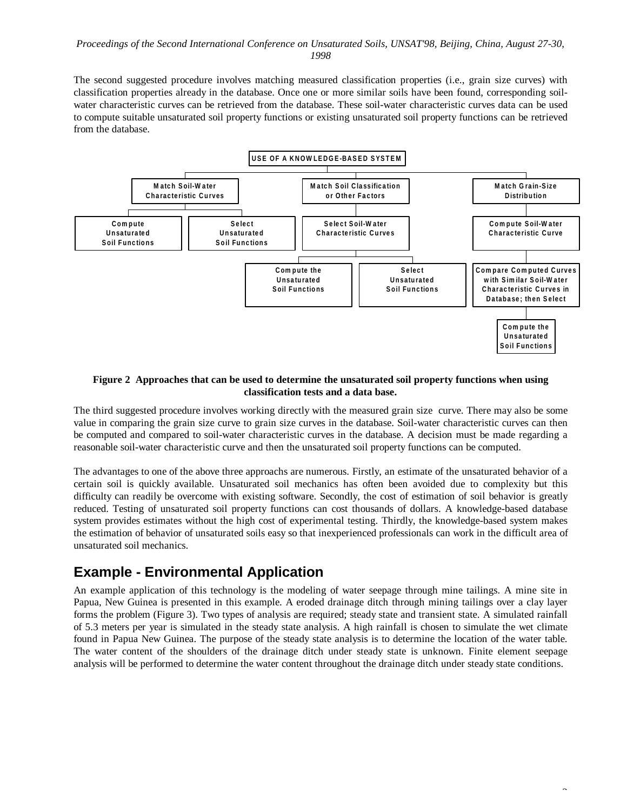#### *Proceedings of the Second International Conference on Unsaturated Soils, UNSAT'98, Beijing, China, August 27-30, 1998*

The second suggested procedure involves matching measured classification properties (i.e., grain size curves) with classification properties already in the database. Once one or more similar soils have been found, corresponding soilwater characteristic curves can be retrieved from the database. These soil-water characteristic curves data can be used to compute suitable unsaturated soil property functions or existing unsaturated soil property functions can be retrieved from the database.



#### **Figure 2 Approaches that can be used to determine the unsaturated soil property functions when using classification tests and a data base.**

The third suggested procedure involves working directly with the measured grain size curve. There may also be some value in comparing the grain size curve to grain size curves in the database. Soil-water characteristic curves can then be computed and compared to soil-water characteristic curves in the database. A decision must be made regarding a reasonable soil-water characteristic curve and then the unsaturated soil property functions can be computed.

The advantages to one of the above three approachs are numerous. Firstly, an estimate of the unsaturated behavior of a certain soil is quickly available. Unsaturated soil mechanics has often been avoided due to complexity but this difficulty can readily be overcome with existing software. Secondly, the cost of estimation of soil behavior is greatly reduced. Testing of unsaturated soil property functions can cost thousands of dollars. A knowledge-based database system provides estimates without the high cost of experimental testing. Thirdly, the knowledge-based system makes the estimation of behavior of unsaturated soils easy so that inexperienced professionals can work in the difficult area of unsaturated soil mechanics.

# **Example - Environmental Application**

An example application of this technology is the modeling of water seepage through mine tailings. A mine site in Papua, New Guinea is presented in this example. A eroded drainage ditch through mining tailings over a clay layer forms the problem (Figure 3). Two types of analysis are required; steady state and transient state. A simulated rainfall of 5.3 meters per year is simulated in the steady state analysis. A high rainfall is chosen to simulate the wet climate found in Papua New Guinea. The purpose of the steady state analysis is to determine the location of the water table. The water content of the shoulders of the drainage ditch under steady state is unknown. Finite element seepage analysis will be performed to determine the water content throughout the drainage ditch under steady state conditions.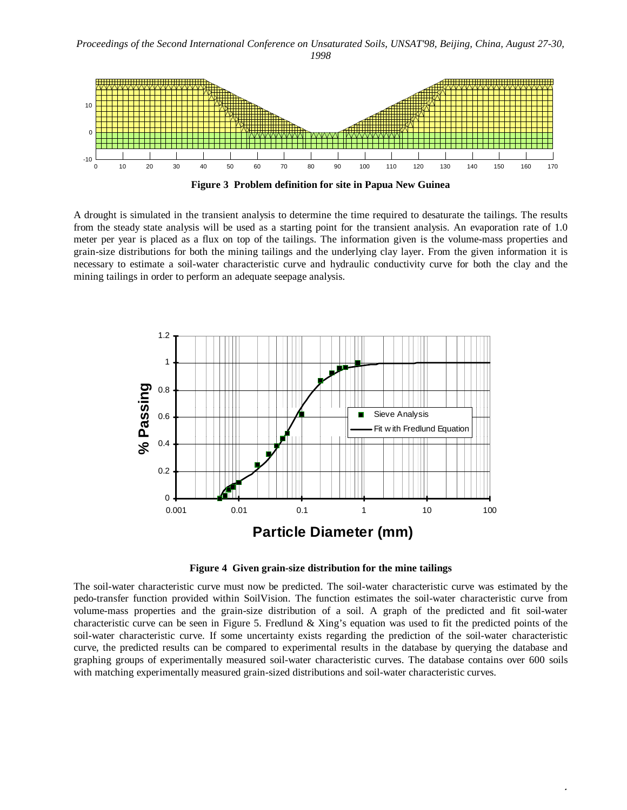*Proceedings of the Second International Conference on Unsaturated Soils, UNSAT'98, Beijing, China, August 27-30, 1998*



**Figure 3 Problem definition for site in Papua New Guinea**

A drought is simulated in the transient analysis to determine the time required to desaturate the tailings. The results from the steady state analysis will be used as a starting point for the transient analysis. An evaporation rate of 1.0 meter per year is placed as a flux on top of the tailings. The information given is the volume-mass properties and grain-size distributions for both the mining tailings and the underlying clay layer. From the given information it is necessary to estimate a soil-water characteristic curve and hydraulic conductivity curve for both the clay and the mining tailings in order to perform an adequate seepage analysis.



**Figure 4 Given grain-size distribution for the mine tailings**

The soil-water characteristic curve must now be predicted. The soil-water characteristic curve was estimated by the pedo-transfer function provided within SoilVision. The function estimates the soil-water characteristic curve from volume-mass properties and the grain-size distribution of a soil. A graph of the predicted and fit soil-water characteristic curve can be seen in Figure 5. Fredlund  $\&$  Xing's equation was used to fit the predicted points of the soil-water characteristic curve. If some uncertainty exists regarding the prediction of the soil-water characteristic curve, the predicted results can be compared to experimental results in the database by querying the database and graphing groups of experimentally measured soil-water characteristic curves. The database contains over 600 soils with matching experimentally measured grain-sized distributions and soil-water characteristic curves.

 $\ddot{\phantom{1}}$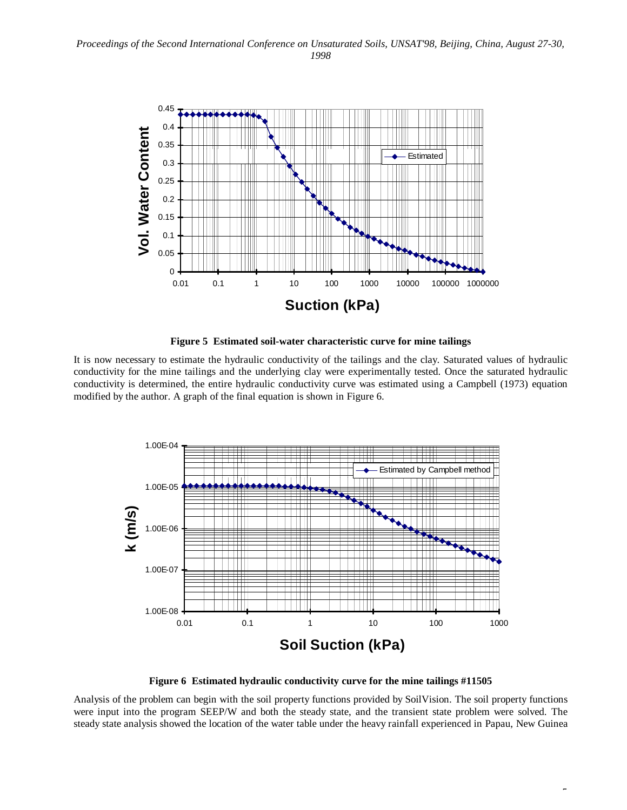

**Figure 5 Estimated soil-water characteristic curve for mine tailings**

It is now necessary to estimate the hydraulic conductivity of the tailings and the clay. Saturated values of hydraulic conductivity for the mine tailings and the underlying clay were experimentally tested. Once the saturated hydraulic conductivity is determined, the entire hydraulic conductivity curve was estimated using a Campbell (1973) equation modified by the author. A graph of the final equation is shown in Figure 6.



**Figure 6 Estimated hydraulic conductivity curve for the mine tailings #11505**

Analysis of the problem can begin with the soil property functions provided by SoilVision. The soil property functions were input into the program SEEP/W and both the steady state, and the transient state problem were solved. The steady state analysis showed the location of the water table under the heavy rainfall experienced in Papau, New Guinea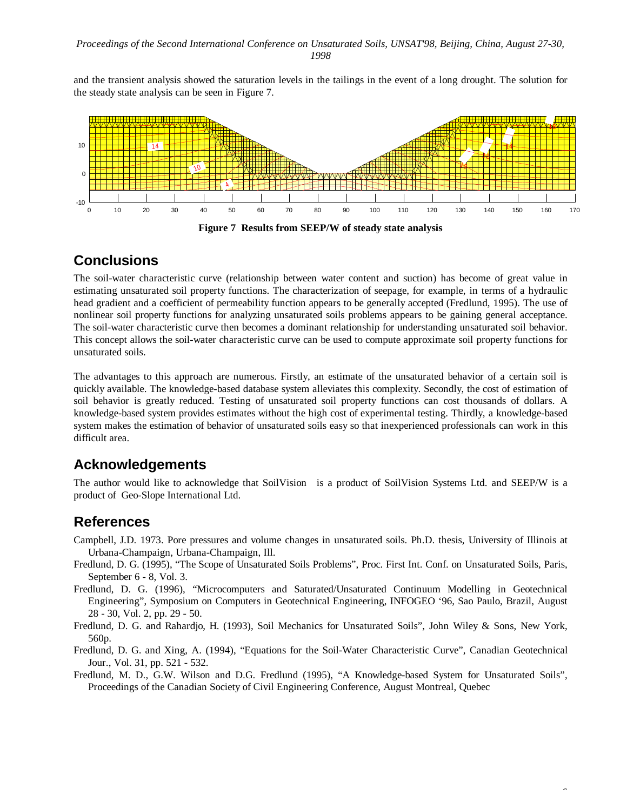and the transient analysis showed the saturation levels in the tailings in the event of a long drought. The solution for the steady state analysis can be seen in Figure 7.



# **Conclusions**

The soil-water characteristic curve (relationship between water content and suction) has become of great value in estimating unsaturated soil property functions. The characterization of seepage, for example, in terms of a hydraulic head gradient and a coefficient of permeability function appears to be generally accepted (Fredlund, 1995). The use of nonlinear soil property functions for analyzing unsaturated soils problems appears to be gaining general acceptance. The soil-water characteristic curve then becomes a dominant relationship for understanding unsaturated soil behavior. This concept allows the soil-water characteristic curve can be used to compute approximate soil property functions for unsaturated soils.

The advantages to this approach are numerous. Firstly, an estimate of the unsaturated behavior of a certain soil is quickly available. The knowledge-based database system alleviates this complexity. Secondly, the cost of estimation of soil behavior is greatly reduced. Testing of unsaturated soil property functions can cost thousands of dollars. A knowledge-based system provides estimates without the high cost of experimental testing. Thirdly, a knowledge-based system makes the estimation of behavior of unsaturated soils easy so that inexperienced professionals can work in this difficult area.

# **Acknowledgements**

The author would like to acknowledge that SoilVision<sup>™</sup> is a product of SoilVision Systems Ltd. and SEEP/W is a product of Geo-Slope International Ltd.

## **References**

- Campbell, J.D. 1973. Pore pressures and volume changes in unsaturated soils. Ph.D. thesis, University of Illinois at Urbana-Champaign, Urbana-Champaign, Ill.
- Fredlund, D. G. (1995), "The Scope of Unsaturated Soils Problems", Proc. First Int. Conf. on Unsaturated Soils, Paris, September 6 - 8, Vol. 3.
- Fredlund, D. G. (1996), "Microcomputers and Saturated/Unsaturated Continuum Modelling in Geotechnical Engineering", Symposium on Computers in Geotechnical Engineering, INFOGEO '96, Sao Paulo, Brazil, August 28 - 30, Vol. 2, pp. 29 - 50.
- Fredlund, D. G. and Rahardjo, H. (1993), Soil Mechanics for Unsaturated Soils", John Wiley & Sons, New York, 560p.
- Fredlund, D. G. and Xing, A. (1994), "Equations for the Soil-Water Characteristic Curve", Canadian Geotechnical Jour., Vol. 31, pp. 521 - 532.
- Fredlund, M. D., G.W. Wilson and D.G. Fredlund (1995), "A Knowledge-based System for Unsaturated Soils", Proceedings of the Canadian Society of Civil Engineering Conference, August Montreal, Quebec

6